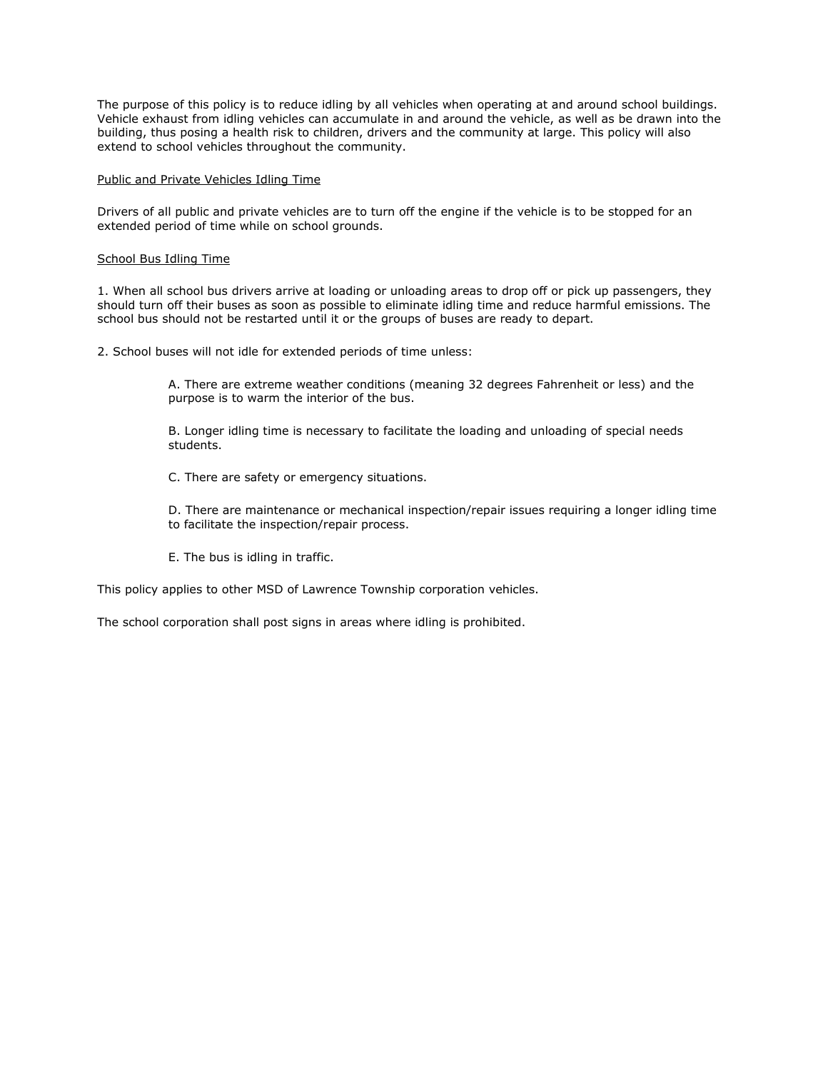The purpose of this policy is to reduce idling by all vehicles when operating at and around school buildings. Vehicle exhaust from idling vehicles can accumulate in and around the vehicle, as well as be drawn into the building, thus posing a health risk to children, drivers and the community at large. This policy will also extend to school vehicles throughout the community.

#### Public and Private Vehicles Idling Time

Drivers of all public and private vehicles are to turn off the engine if the vehicle is to be stopped for an extended period of time while on school grounds.

#### School Bus Idling Time

1. When all school bus drivers arrive at loading or unloading areas to drop off or pick up passengers, they should turn off their buses as soon as possible to eliminate idling time and reduce harmful emissions. The school bus should not be restarted until it or the groups of buses are ready to depart.

2. School buses will not idle for extended periods of time unless:

A. There are extreme weather conditions (meaning 32 degrees Fahrenheit or less) and the purpose is to warm the interior of the bus.

B. Longer idling time is necessary to facilitate the loading and unloading of special needs students.

C. There are safety or emergency situations.

D. There are maintenance or mechanical inspection/repair issues requiring a longer idling time to facilitate the inspection/repair process.

E. The bus is idling in traffic.

This policy applies to other MSD of Lawrence Township corporation vehicles.

The school corporation shall post signs in areas where idling is prohibited.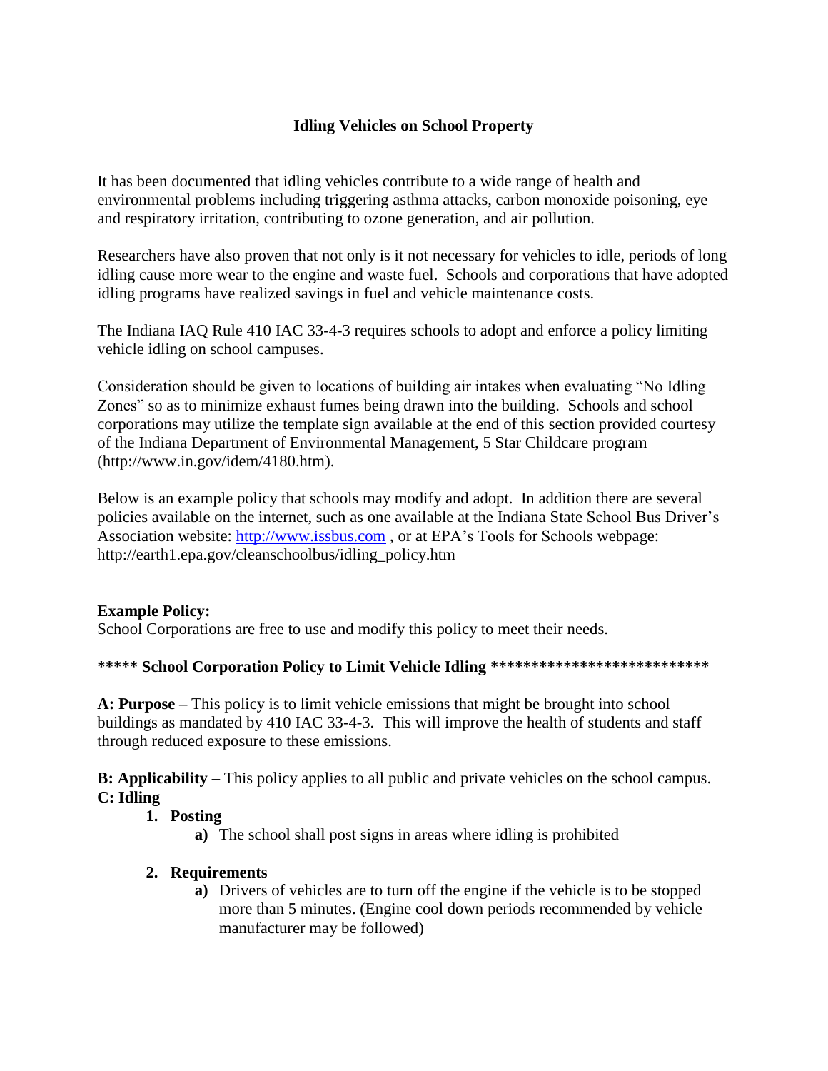# **Idling Vehicles on School Property**

It has been documented that idling vehicles contribute to a wide range of health and environmental problems including triggering asthma attacks, carbon monoxide poisoning, eye and respiratory irritation, contributing to ozone generation, and air pollution.

Researchers have also proven that not only is it not necessary for vehicles to idle, periods of long idling cause more wear to the engine and waste fuel. Schools and corporations that have adopted idling programs have realized savings in fuel and vehicle maintenance costs.

The Indiana IAQ Rule 410 IAC 33-4-3 requires schools to adopt and enforce a policy limiting vehicle idling on school campuses.

Consideration should be given to locations of building air intakes when evaluating "No Idling Zones" so as to minimize exhaust fumes being drawn into the building. Schools and school corporations may utilize the template sign available at the end of this section provided courtesy of the Indiana Department of Environmental Management, 5 Star Childcare program (http://www.in.gov/idem/4180.htm).

Below is an example policy that schools may modify and adopt. In addition there are several policies available on the internet, such as one available at the Indiana State School Bus Driver's Association website: [http://www.issbus.com](http://www.issbus.com/) , or at EPA's Tools for Schools webpage: http://earth1.epa.gov/cleanschoolbus/idling\_policy.htm

#### **Example Policy:**

School Corporations are free to use and modify this policy to meet their needs.

#### **\*\*\*\*\* School Corporation Policy to Limit Vehicle Idling \*\*\*\*\*\*\*\*\*\*\*\*\*\*\*\*\*\*\*\*\*\*\*\*\*\*\***

**A: Purpose –** This policy is to limit vehicle emissions that might be brought into school buildings as mandated by 410 IAC 33-4-3. This will improve the health of students and staff through reduced exposure to these emissions.

**B: Applicability –** This policy applies to all public and private vehicles on the school campus. **C: Idling** 

#### **1. Posting**

**a)** The school shall post signs in areas where idling is prohibited

## **2. Requirements**

**a)** Drivers of vehicles are to turn off the engine if the vehicle is to be stopped more than 5 minutes. (Engine cool down periods recommended by vehicle manufacturer may be followed)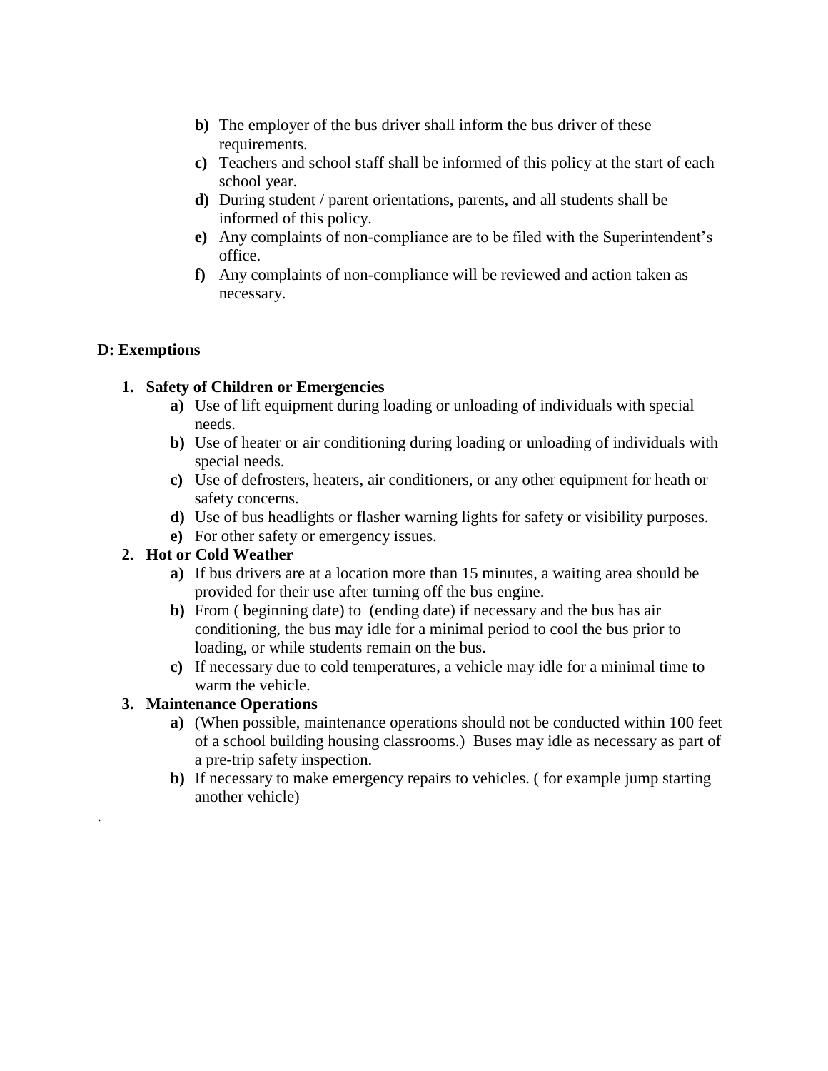- **b)** The employer of the bus driver shall inform the bus driver of these requirements.
- **c)** Teachers and school staff shall be informed of this policy at the start of each school year.
- **d)** During student / parent orientations, parents, and all students shall be informed of this policy.
- **e)** Any complaints of non-compliance are to be filed with the Superintendent's office.
- **f)** Any complaints of non-compliance will be reviewed and action taken as necessary.

## **D: Exemptions**

## **1. Safety of Children or Emergencies**

- **a)** Use of lift equipment during loading or unloading of individuals with special needs.
- **b)** Use of heater or air conditioning during loading or unloading of individuals with special needs.
- **c)** Use of defrosters, heaters, air conditioners, or any other equipment for heath or safety concerns.
- **d)** Use of bus headlights or flasher warning lights for safety or visibility purposes.
- **e)** For other safety or emergency issues.

## **2. Hot or Cold Weather**

- **a)** If bus drivers are at a location more than 15 minutes, a waiting area should be provided for their use after turning off the bus engine.
- **b)** From ( beginning date) to (ending date) if necessary and the bus has air conditioning, the bus may idle for a minimal period to cool the bus prior to loading, or while students remain on the bus.
- **c)** If necessary due to cold temperatures, a vehicle may idle for a minimal time to warm the vehicle.

## **3. Maintenance Operations**

.

- **a)** (When possible, maintenance operations should not be conducted within 100 feet of a school building housing classrooms.) Buses may idle as necessary as part of a pre-trip safety inspection.
- **b)** If necessary to make emergency repairs to vehicles. ( for example jump starting another vehicle)